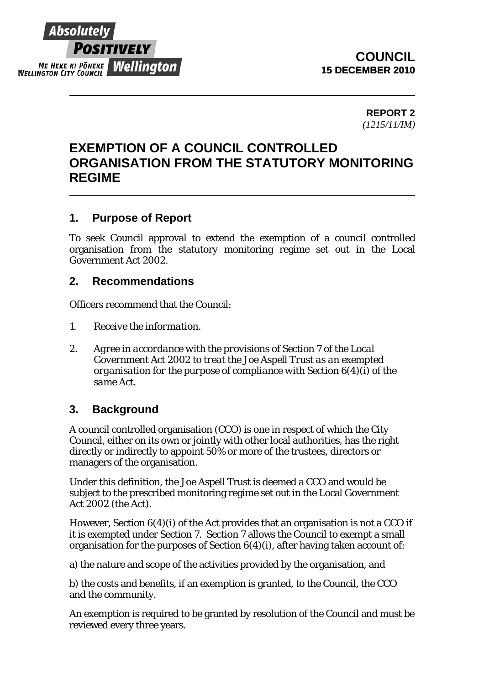

**REPORT 2**  *(1215/11/IM)* 

# **EXEMPTION OF A COUNCIL CONTROLLED ORGANISATION FROM THE STATUTORY MONITORING REGIME**

## **1. Purpose of Report**

To seek Council approval to extend the exemption of a council controlled organisation from the statutory monitoring regime set out in the Local Government Act 2002.

### **2. Recommendations**

Officers recommend that the Council:

- *1. Receive the information.*
- *2. Agree in accordance with the provisions of Section 7 of the Local Government Act 2002 to treat the Joe Aspell Trust as an exempted organisation for the purpose of compliance with Section 6(4)(i) of the same Act.*

### **3. Background**

A council controlled organisation (CCO) is one in respect of which the City Council, either on its own or jointly with other local authorities, has the right directly or indirectly to appoint 50% or more of the trustees, directors or managers of the organisation.

Under this definition, the Joe Aspell Trust is deemed a CCO and would be subject to the prescribed monitoring regime set out in the Local Government Act 2002 (the Act).

However, Section 6(4)(i) of the Act provides that an organisation is not a CCO if it is exempted under Section 7. Section 7 allows the Council to exempt a small organisation for the purposes of Section 6(4)(i), after having taken account of:

a) the nature and scope of the activities provided by the organisation, and

b) the costs and benefits, if an exemption is granted, to the Council, the CCO and the community.

An exemption is required to be granted by resolution of the Council and must be reviewed every three years.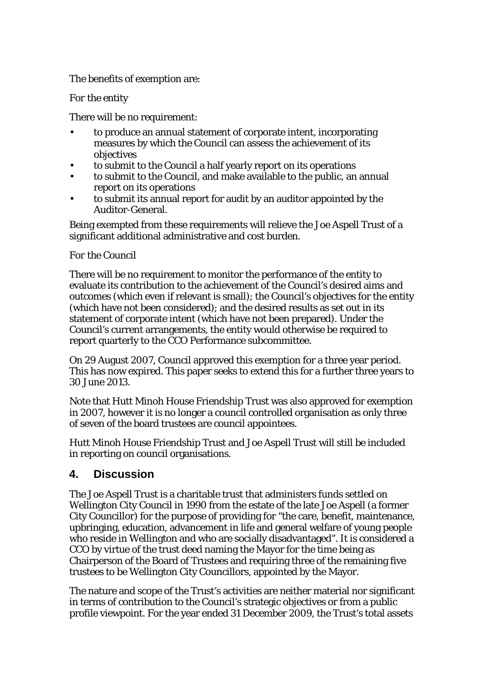#### The benefits of exemption are:

#### *For the entity*

There will be no requirement:

- to produce an annual statement of corporate intent, incorporating measures by which the Council can assess the achievement of its objectives
- to submit to the Council a half yearly report on its operations
- to submit to the Council, and make available to the public, an annual report on its operations
- to submit its annual report for audit by an auditor appointed by the Auditor-General.

Being exempted from these requirements will relieve the Joe Aspell Trust of a significant additional administrative and cost burden.

#### *For the Council*

There will be no requirement to monitor the performance of the entity to evaluate its contribution to the achievement of the Council's desired aims and outcomes (which even if relevant is small); the Council's objectives for the entity (which have not been considered); and the desired results as set out in its statement of corporate intent (which have not been prepared). Under the Council's current arrangements, the entity would otherwise be required to report quarterly to the CCO Performance subcommittee.

On 29 August 2007, Council approved this exemption for a three year period. This has now expired. This paper seeks to extend this for a further three years to 30 June 2013.

Note that Hutt Minoh House Friendship Trust was also approved for exemption in 2007, however it is no longer a council controlled organisation as only three of seven of the board trustees are council appointees.

Hutt Minoh House Friendship Trust and Joe Aspell Trust will still be included in reporting on council organisations.

### **4. Discussion**

The Joe Aspell Trust is a charitable trust that administers funds settled on Wellington City Council in 1990 from the estate of the late Joe Aspell (a former City Councillor) for the purpose of providing for "the care, benefit, maintenance, upbringing, education, advancement in life and general welfare of young people who reside in Wellington and who are socially disadvantaged". It is considered a CCO by virtue of the trust deed naming the Mayor for the time being as Chairperson of the Board of Trustees and requiring three of the remaining five trustees to be Wellington City Councillors, appointed by the Mayor.

The nature and scope of the Trust's activities are neither material nor significant in terms of contribution to the Council's strategic objectives or from a public profile viewpoint. For the year ended 31 December 2009, the Trust's total assets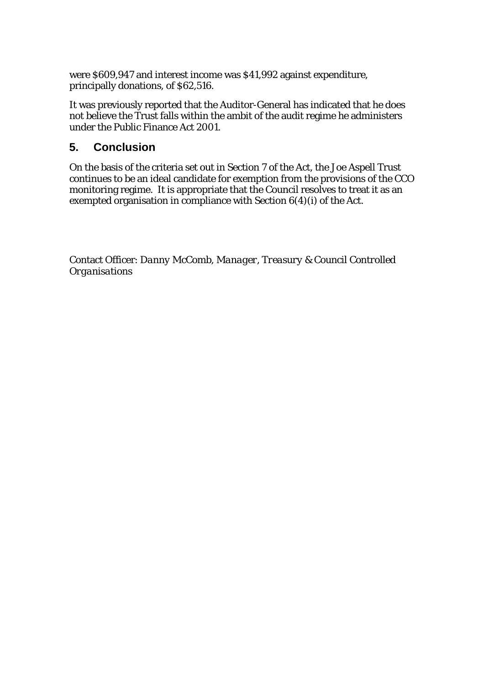were \$609,947 and interest income was \$41,992 against expenditure, principally donations, of \$62,516.

It was previously reported that the Auditor-General has indicated that he does not believe the Trust falls within the ambit of the audit regime he administers under the Public Finance Act 2001.

## **5. Conclusion**

On the basis of the criteria set out in Section 7 of the Act, the Joe Aspell Trust continues to be an ideal candidate for exemption from the provisions of the CCO monitoring regime. It is appropriate that the Council resolves to treat it as an exempted organisation in compliance with Section 6(4)(i) of the Act.

Contact Officer: *Danny McComb, Manager, Treasury & Council Controlled Organisations*